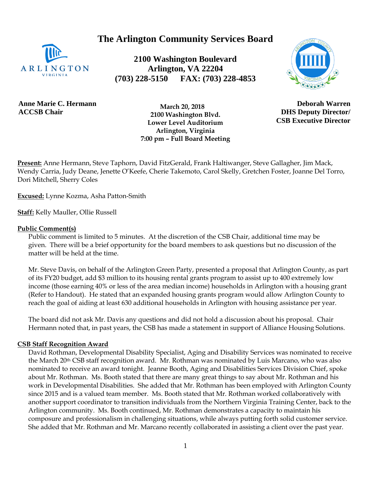**The Arlington Community Services Board**



**2100 Washington Boulevard Arlington, VA 22204 (703) 228-5150 FAX: (703) 228-4853**



**Anne Marie C. Hermann ACCSB Chair**

 **March 20, 2018 2100 Washington Blvd. Lower Level Auditorium Arlington, Virginia 7:00 pm – Full Board Meeting**

**Deborah Warren DHS Deputy Director/ CSB Executive Director**

**Present:** Anne Hermann, Steve Taphorn, David FitzGerald, Frank Haltiwanger, Steve Gallagher, Jim Mack, Wendy Carria, Judy Deane, Jenette O'Keefe, Cherie Takemoto, Carol Skelly, Gretchen Foster, Joanne Del Torro, Dori Mitchell, Sherry Coles

**Excused:** Lynne Kozma, Asha Patton-Smith

**Staff:** Kelly Mauller, Ollie Russell

#### **Public Comment(s)**

Public comment is limited to 5 minutes. At the discretion of the CSB Chair, additional time may be given. There will be a brief opportunity for the board members to ask questions [but](http://but.no/) no discussion of the matter will be held at the time.

Mr. Steve Davis, on behalf of the Arlington Green Party, presented a proposal that Arlington County, as part of its FY20 budget, add \$3 million to its housing rental grants program to assist up to 400 extremely low income (those earning 40% or less of the area median income) households in Arlington with a housing grant (Refer to Handout). He stated that an expanded housing grants program would allow Arlington County to reach the goal of aiding at least 630 additional households in Arlington with housing assistance per year.

The board did not ask Mr. Davis any questions and did not hold a discussion about his proposal. Chair Hermann noted that, in past years, the CSB has made a statement in support of Alliance Housing Solutions.

#### **CSB Staff Recognition Award**

David Rothman, Developmental Disability Specialist, Aging and Disability Services was nominated to receive the March 20th CSB staff recognition award. Mr. Rothman was nominated by Luis Marcano, who was also nominated to receive an award tonight. Jeanne Booth, Aging and Disabilities Services Division Chief, spoke about Mr. Rothman. Ms. Booth stated that there are many great things to say about Mr. Rothman and his work in Developmental Disabilities. She added that Mr. Rothman has been employed with Arlington County since 2015 and is a valued team member. Ms. Booth stated that Mr. Rothman worked collaboratively with another support coordinator to transition individuals from the Northern Virginia Training Center, back to the Arlington community. Ms. Booth continued, Mr. Rothman demonstrates a capacity to maintain his composure and professionalism in challenging situations, while always putting forth solid customer service. She added that Mr. Rothman and Mr. Marcano recently collaborated in assisting a client over the past year.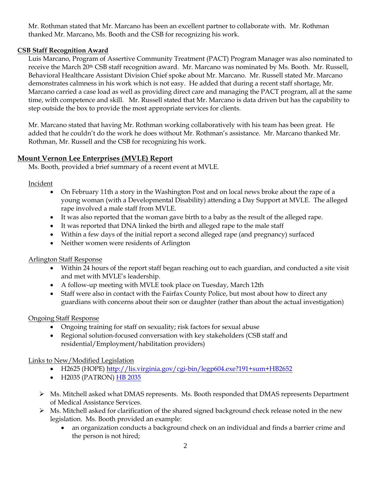Mr. Rothman stated that Mr. Marcano has been an excellent partner to collaborate with. Mr. Rothman thanked Mr. Marcano, Ms. Booth and the CSB for recognizing his work.

### **CSB Staff Recognition Award**

Luis Marcano, Program of Assertive Community Treatment (PACT) Program Manager was also nominated to receive the March 20<sup>th</sup> CSB staff recognition award. Mr. Marcano was nominated by Ms. Booth. Mr. Russell, Behavioral Healthcare Assistant Division Chief spoke about Mr. Marcano. Mr. Russell stated Mr. Marcano demonstrates calmness in his work which is not easy. He added that during a recent staff shortage, Mr. Marcano carried a case load as well as providing direct care and managing the PACT program, all at the same time, with competence and skill. Mr. Russell stated that Mr. Marcano is data driven but has the capability to step outside the box to provide the most appropriate services for clients.

Mr. Marcano stated that having Mr. Rothman working collaboratively with his team has been great. He added that he couldn't do the work he does without Mr. Rothman's assistance. Mr. Marcano thanked Mr. Rothman, Mr. Russell and the CSB for recognizing his work.

# **Mount Vernon Lee Enterprises (MVLE) Report**

Ms. Booth, provided a brief summary of a recent event at MVLE.

### Incident

- On February 11th a story in the Washington Post and on local news broke about the rape of a young woman (with a Developmental Disability) attending a Day Support at MVLE. The alleged rape involved a male staff from MVLE.
- It was also reported that the woman gave birth to a baby as the result of the alleged rape.
- It was reported that DNA linked the birth and alleged rape to the male staff
- Within a few days of the initial report a second alleged rape (and pregnancy) surfaced
- Neither women were residents of Arlington

# Arlington Staff Response

- Within 24 hours of the report staff began reaching out to each guardian, and conducted a site visit and met with MVLE's leadership.
- A follow-up meeting with MVLE took place on Tuesday, March 12th
- Staff were also in contact with the Fairfax County Police, but most about how to direct any guardians with concerns about their son or daughter (rather than about the actual investigation)

# Ongoing Staff Response

- Ongoing training for staff on sexuality; risk factors for sexual abuse
- Regional solution-focused conversation with key stakeholders (CSB staff and residential/Employment/habilitation providers)

# Links to New/Modified Legislation

- H2625 (HOPE) [http://lis.virginia.gov/cgi-bin/legp604.exe?191+sum+HB2652](https://nam03.safelinks.protection.outlook.com/?url=http%3A%2F%2Flis.virginia.gov%2Fcgi-bin%2Flegp604.exe%3F191%2Bsum%2BHB2652&data=02%7C01%7CKmauller%40arlingtonva.us%7Cba50fd30cf744079895e08d6adf7979a%7C803548041fdf428e9f5f5091e994cf54%7C0%7C0%7C636887676243479684&sdata=g4R4%2FK7aqRXuJ18Mj4BqWxk3C9tSoIW6KcWmm%2B7303c%3D&reserved=0)
- H2035 (PATRON) [HB 2035](https://nam03.safelinks.protection.outlook.com/?url=http%3A%2F%2Flis.virginia.gov%2Fcgi-bin%2Flegp604.exe%3F191%2Bcab%2BHC10204HB2035%2BUCHB3&data=02%7C01%7CKmauller%40arlingtonva.us%7Cba50fd30cf744079895e08d6adf7979a%7C803548041fdf428e9f5f5091e994cf54%7C0%7C0%7C636887676243489693&sdata=xoZEqQmGlysmlAhbVdO69uQHUTo2CEwEpTuQDnXFmLE%3D&reserved=0)
- ➢ Ms. Mitchell asked what DMAS represents. Ms. Booth responded that DMAS represents Department of Medical Assistance Services.
- ➢ Ms. Mitchell asked for clarification of the shared signed background check release noted in the new legislation. Ms. Booth provided an example:
	- an organization conducts a background check on an individual and finds a barrier crime and the person is not hired;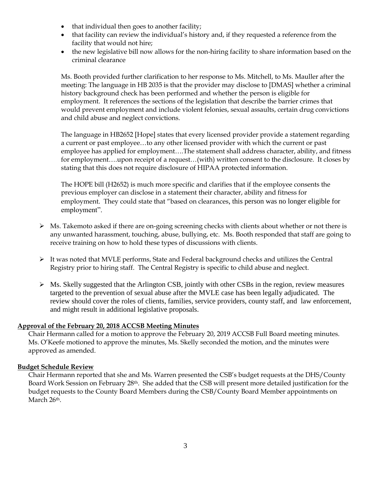- that individual then goes to another facility;
- that facility can review the individual's history and, if they requested a reference from the facility that would not hire;
- the new legislative bill now allows for the non-hiring facility to share information based on the criminal clearance

Ms. Booth provided further clarification to her response to Ms. Mitchell, to Ms. Mauller after the meeting: The language in HB 2035 is that the provider may disclose to [DMAS] whether a criminal history background check has been performed and whether the person is eligible for employment. It references the sections of the legislation that describe the barrier crimes that would prevent employment and include violent felonies, sexual assaults, certain drug convictions and child abuse and neglect convictions.

The language in HB2652 [Hope] states that every licensed provider provide a statement regarding a current or past employee…to any other licensed provider with which the current or past employee has applied for employment….The statement shall address character, ability, and fitness for employment….upon receipt of a request…(with) written consent to the disclosure. It closes by stating that this does not require disclosure of HIPAA protected information.

The HOPE bill (H2652) is much more specific and clarifies that if the employee consents the previous employer can disclose in a statement their character, ability and fitness for employment. They could state that "based on clearances, this person was no longer eligible for employment".

- ➢ Ms. Takemoto asked if there are on-going screening checks with clients about whether or not there is any unwanted harassment, touching, abuse, bullying, etc. Ms. Booth responded that staff are going to receive training on how to hold these types of discussions with clients.
- $\triangleright$  It was noted that MVLE performs, State and Federal background checks and utilizes the Central Registry prior to hiring staff. The Central Registry is specific to child abuse and neglect.
- $\triangleright$  Ms. Skelly suggested that the Arlington CSB, jointly with other CSBs in the region, review measures targeted to the prevention of sexual abuse after the MVLE case has been legally adjudicated. The review should cover the roles of clients, families, service providers, county staff, and law enforcement, and might result in additional legislative proposals.

#### **Approval of the February 20, 2018 ACCSB Meeting Minutes**

Chair Hermann called for a motion to approve the February 20, 2019 ACCSB Full Board meeting minutes. Ms. O'Keefe motioned to approve the minutes, Ms. Skelly seconded the motion, and the minutes were approved as amended.

#### **Budget Schedule Review**

Chair Hermann reported that she and Ms. Warren presented the CSB's budget requests at the DHS/County Board Work Session on February 28th. She added that the CSB will present more detailed justification for the budget requests to the County Board Members during the CSB/County Board Member appointments on March 26<sup>th</sup>.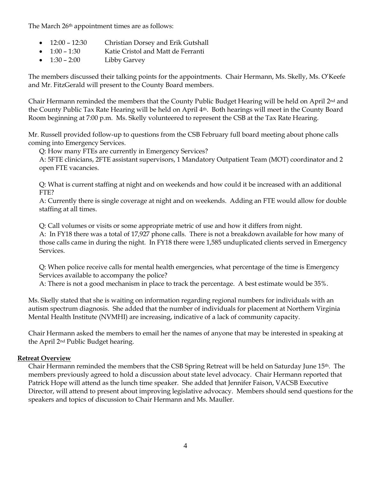The March 26<sup>th</sup> appointment times are as follows:

- 12:00 12:30 Christian Dorsey and Erik Gutshall
- 1:00 1:30 Katie Cristol and Matt de Ferranti
- 1:30 2:00 Libby Garvey

The members discussed their talking points for the appointments. Chair Hermann, Ms. Skelly, Ms. O'Keefe and Mr. FitzGerald will present to the County Board members.

Chair Hermann reminded the members that the County Public Budget Hearing will be held on April 2nd and the County Public Tax Rate Hearing will be held on April 4th. Both hearings will meet in the County Board Room beginning at 7:00 p.m. Ms. Skelly volunteered to represent the CSB at the Tax Rate Hearing.

Mr. Russell provided follow-up to questions from the CSB February full board meeting about phone calls coming into Emergency Services.

Q: How many FTEs are currently in Emergency Services?

A: 5FTE clinicians, 2FTE assistant supervisors, 1 Mandatory Outpatient Team (MOT) coordinator and 2 open FTE vacancies.

Q: What is current staffing at night and on weekends and how could it be increased with an additional FTE?

A: Currently there is single coverage at night and on weekends. Adding an FTE would allow for double staffing at all times.

Q: Call volumes or visits or some appropriate metric of use and how it differs from night.

A: In FY18 there was a total of 17,927 phone calls. There is not a breakdown available for how many of those calls came in during the night. In FY18 there were 1,585 unduplicated clients served in Emergency Services.

Q: When police receive calls for mental health emergencies, what percentage of the time is Emergency Services available to accompany the police?

A: There is not a good mechanism in place to track the percentage. A best estimate would be 35%.

Ms. Skelly stated that she is waiting on information regarding regional numbers for individuals with an autism spectrum diagnosis. She added that the number of individuals for placement at Northern Virginia Mental Health Institute (NVMHI) are increasing, indicative of a lack of community capacity.

Chair Hermann asked the members to email her the names of anyone that may be interested in speaking at the April 2nd Public Budget hearing.

# **Retreat Overview**

Chair Hermann reminded the members that the CSB Spring Retreat will be held on Saturday June 15th. The members previously agreed to hold a discussion about state level advocacy. Chair Hermann reported that Patrick Hope will attend as the lunch time speaker. She added that Jennifer Faison, VACSB Executive Director, will attend to present about improving legislative advocacy. Members should send questions for the speakers and topics of discussion to Chair Hermann and Ms. Mauller.